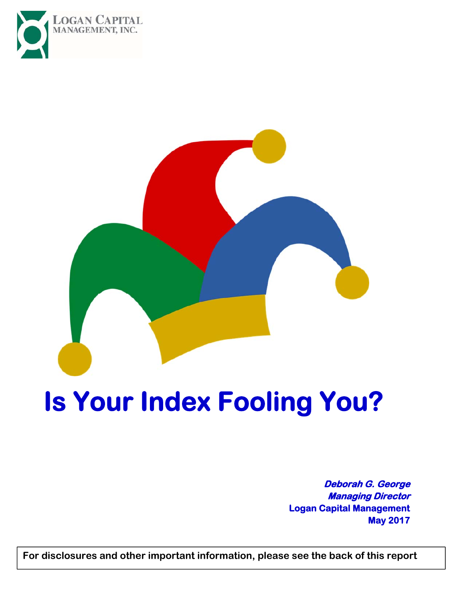



# **Is Your Index Fooling You?**

**Deborah G. George Managing Director Logan Capital Management May 2017** 

**For disclosures and other important information, please see the back of this report**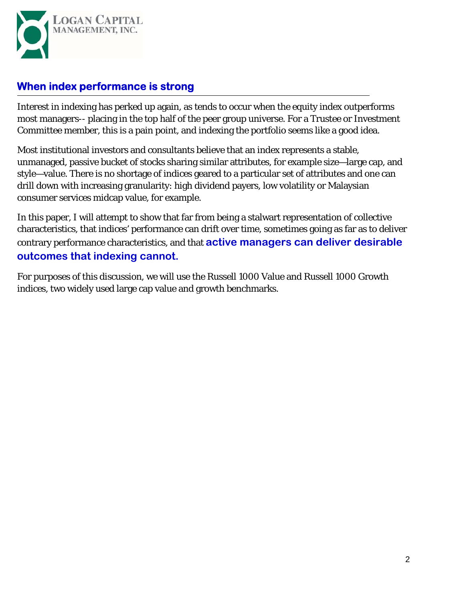

#### **When index performance is strong**

Interest in indexing has perked up again, as tends to occur when the equity index outperforms most managers-- placing in the top half of the peer group universe. For a Trustee or Investment Committee member, this is a pain point, and indexing the portfolio seems like a good idea.

Most institutional investors and consultants believe that an index represents a stable, unmanaged, passive bucket of stocks sharing similar attributes, for example size—large cap, and style—value. There is no shortage of indices geared to a particular set of attributes and one can drill down with increasing granularity: high dividend payers, low volatility or Malaysian consumer services midcap value, for example.

In this paper, I will attempt to show that far from being a stalwart representation of collective characteristics, that indices' performance can drift over time, sometimes going as far as to deliver contrary performance characteristics, and that **active managers can deliver desirable outcomes that indexing cannot.** 

For purposes of this discussion, we will use the Russell 1000 Value and Russell 1000 Growth indices, two widely used large cap value and growth benchmarks.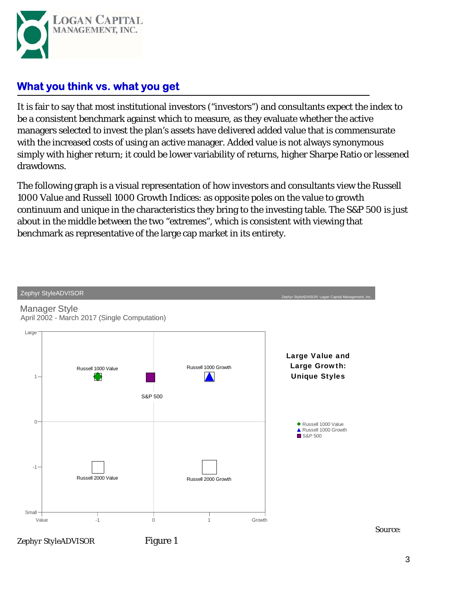

#### **What you think vs. what you get**

It is fair to say that most institutional investors ("investors") and consultants expect the index to be a consistent benchmark against which to measure, as they evaluate whether the active managers selected to invest the plan's assets have delivered added value that is commensurate with the increased costs of using an active manager. Added value is not always synonymous simply with higher return; it could be lower variability of returns, higher Sharpe Ratio or lessened drawdowns.

The following graph is a visual representation of how investors and consultants view the Russell 1000 Value and Russell 1000 Growth Indices: as opposite poles on the value to growth continuum and unique in the characteristics they bring to the investing table. The S&P 500 is just about in the middle between the two "extremes", which is consistent with viewing that benchmark as representative of the large cap market in its entirety.

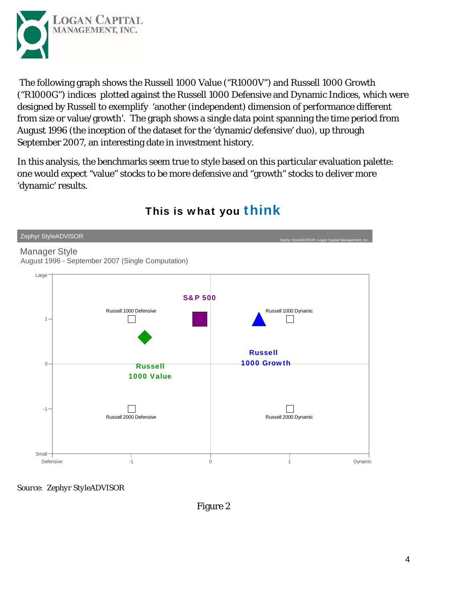

 The following graph shows the Russell 1000 Value ("R1000V") and Russell 1000 Growth ("R1000G") indices plotted against the Russell 1000 Defensive and Dynamic Indices, which were designed by Russell to exemplify 'another (independent) dimension of performance different from size or value/growth'. The graph shows a single data point spanning the time period from August 1996 (the inception of the dataset for the 'dynamic/defensive' duo), up through September 2007, an interesting date in investment history.

In this analysis, the benchmarks seem true to style based on this particular evaluation palette: one would expect "value" stocks to be more defensive and "growth" stocks to deliver more 'dynamic' results.



# This is what you think

*Source: Zephyr StyleADVISOR*

Figure 2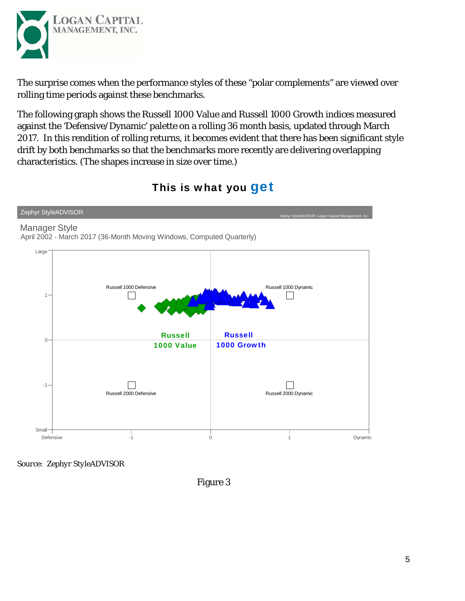

The surprise comes when the performance styles of these "polar complements" are viewed over rolling time periods against these benchmarks.

The following graph shows the Russell 1000 Value and Russell 1000 Growth indices measured against the 'Defensive/Dynamic' palette on a rolling 36 month basis, updated through March 2017. In this rendition of rolling returns, it becomes evident that there has been significant style drift by both benchmarks so that the benchmarks more recently are delivering overlapping characteristics. (The shapes increase in size over time.)



#### This is what you **get**

*Source: Zephyr StyleADVISOR*

Figure 3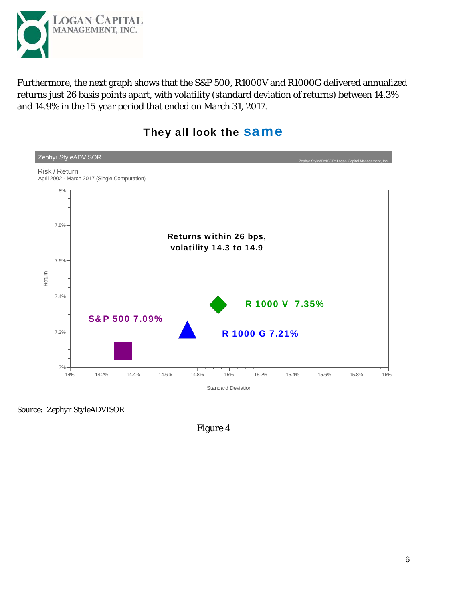

Furthermore, the next graph shows that the S&P 500, R1000V and R1000G delivered annualized returns just 26 basis points apart, with volatility (standard deviation of returns) between 14.3% and 14.9% in the 15-year period that ended on March 31, 2017.



#### They all look the **Same**

*Source: Zephyr StyleADVISOR*

Figure 4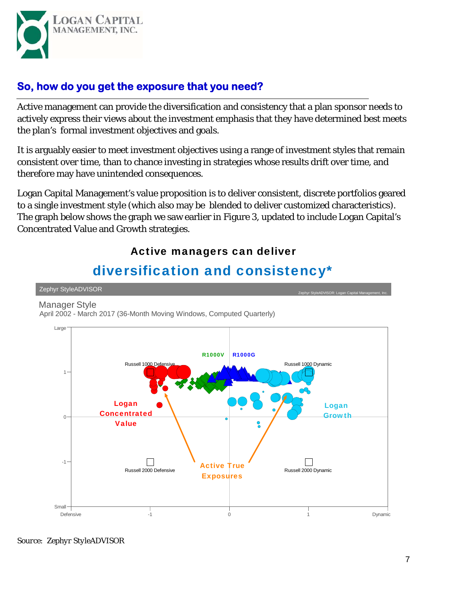

#### **So, how do you get the exposure that you need?**

Active management can provide the diversification and consistency that a plan sponsor needs to actively express their views about the investment emphasis that they have determined best meets the plan's formal investment objectives and goals.

It is arguably easier to meet investment objectives using a range of investment styles that remain consistent over time, than to chance investing in strategies whose results drift over time, and therefore may have unintended consequences.

Logan Capital Management's value proposition is to deliver consistent, discrete portfolios geared to a single investment style (which also may be blended to deliver customized characteristics). The graph below shows the graph we saw earlier in Figure 3, updated to include Logan Capital's Concentrated Value and Growth strategies.

#### Active managers can deliver

# diversification and consistency\*

Zephyr StyleADVISOR

Manager Style

April 2002 - March 2017 (36-Month Moving Windows, Computed Quarterly)



*Source: Zephyr StyleADVISOR*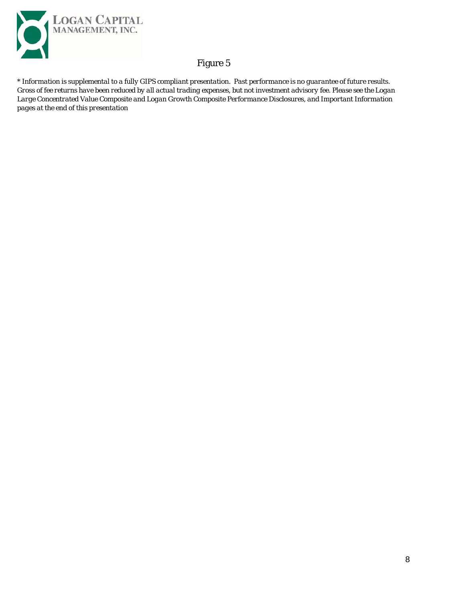

#### Figure 5

*\* Information is supplemental to a fully GIPS compliant presentation. Past performance is no guarantee of future results. Gross of fee returns have been reduced by all actual trading expenses, but not investment advisory fee. Please see the Logan Large Concentrated Value Composite and Logan Growth Composite Performance Disclosures, and Important Information pages at the end of this presentation*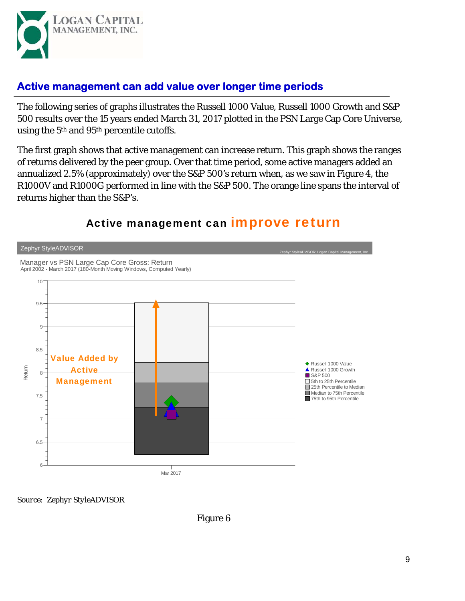

#### **Active management can add value over longer time periods**

The following series of graphs illustrates the Russell 1000 Value, Russell 1000 Growth and S&P 500 results over the 15 years ended March 31, 2017 plotted in the PSN Large Cap Core Universe, using the 5<sup>th</sup> and 95<sup>th</sup> percentile cutoffs.

The first graph shows that active management can increase return. This graph shows the ranges of returns delivered by the peer group. Over that time period, some active managers added an annualized 2.5% (approximately) over the S&P 500's return when, as we saw in Figure 4, the R1000V and R1000G performed in line with the S&P 500. The orange line spans the interval of returns higher than the S&P's.



# Active management can **improve return**

*Source: Zephyr StyleADVISOR*

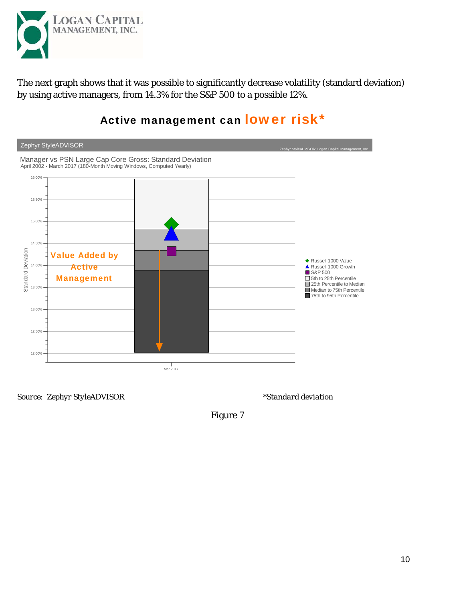

The next graph shows that it was possible to significantly decrease volatility (standard deviation) by using active managers, from 14.3% for the S&P 500 to a possible 12%.



# Active management can lower risk\*

*Source: Zephyr StyleADVISOR \*Standard deviation* 

Figure 7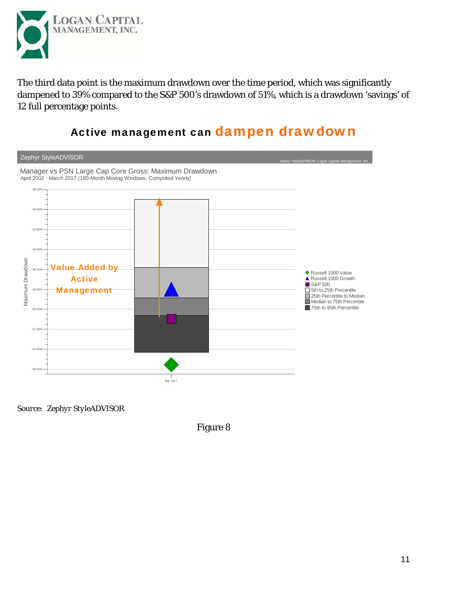

The third data point is the maximum drawdown over the time period, which was significantly dampened to 39% compared to the S&P 500's drawdown of 51%, which is a drawdown 'savings' of 12 full percentage points.

# Active management can dampen drawdown



*Source: Zephyr StyleADVISOR*

Figure 8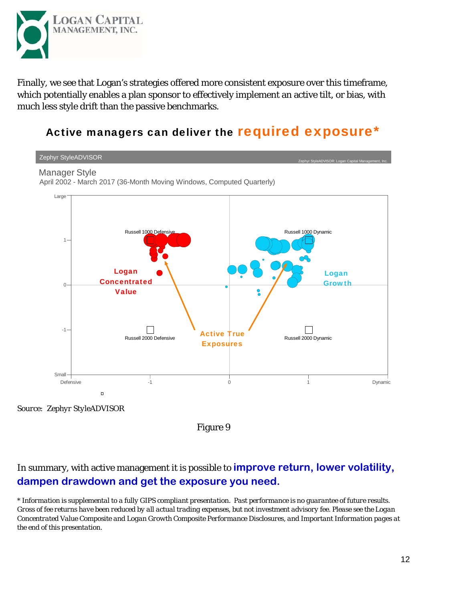

Finally, we see that Logan's strategies offered more consistent exposure over this timeframe, which potentially enables a plan sponsor to effectively implement an active tilt, or bias, with much less style drift than the passive benchmarks.

## Active managers can deliver the required exposure\*



Figure 9

#### In summary, with active management it is possible to **improve return, lower volatility, dampen drawdown and get the exposure you need.**

*\* Information is supplemental to a fully GIPS compliant presentation. Past performance is no guarantee of future results. Gross of fee returns have been reduced by all actual trading expenses, but not investment advisory fee. Please see the Logan Concentrated Value Composite and Logan Growth Composite Performance Disclosures, and Important Information pages at the end of this presentation.*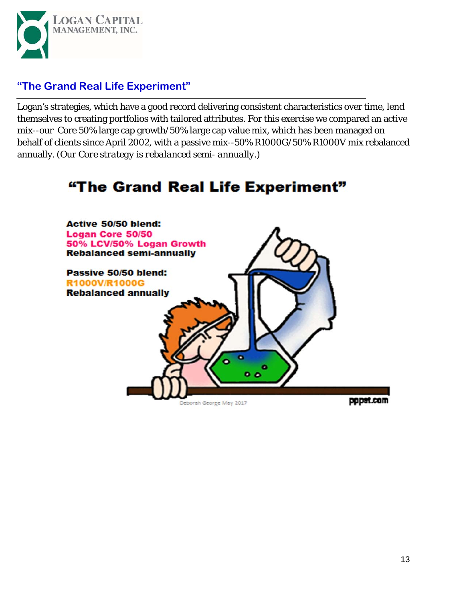

#### **"The Grand Real Life Experiment"**

Logan's strategies, which have a good record delivering consistent characteristics over time, lend themselves to creating portfolios with tailored attributes. For this exercise we compared an active mix--our Core 50% large cap growth/50% large cap value mix, which has been managed on behalf of clients since April 2002, with a passive mix--50% R1000G/50% R1000V mix rebalanced annually. (*Our Core strategy is rebalanced semi- annually.*)

# "The Grand Real Life Experiment"

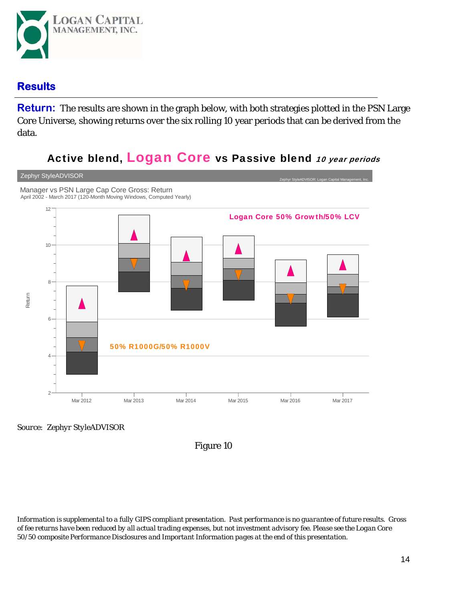

#### **Results**

**Return:** The results are shown in the graph below, with both strategies plotted in the PSN Large Core Universe, showing returns over the six rolling 10 year periods that can be derived from the data.

### Active blend, Logan Core vs Passive blend 10 year periods



*Source: Zephyr StyleADVISOR*

Figure 10

*Information is supplemental to a fully GIPS compliant presentation. Past performance is no guarantee of future results. Gross of fee returns have been reduced by all actual trading expenses, but not investment advisory fee. Please see the Logan Core 50/50 composite Performance Disclosures and Important Information pages at the end of this presentation.*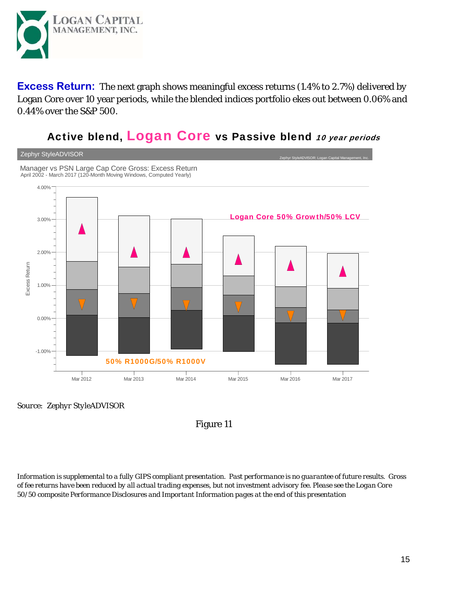

**Excess Return:** The next graph shows meaningful excess returns (1.4% to 2.7%) delivered by Logan Core over 10 year periods, while the blended indices portfolio ekes out between 0.06% and 0.44% over the S&P 500.

## Active blend, Logan Core vs Passive blend 10 year periods



*Source: Zephyr StyleADVISOR*

Figure 11

*Information is supplemental to a fully GIPS compliant presentation. Past performance is no guarantee of future results. Gross of fee returns have been reduced by all actual trading expenses, but not investment advisory fee. Please see the Logan Core 50/50 composite Performance Disclosures and Important Information pages at the end of this presentation*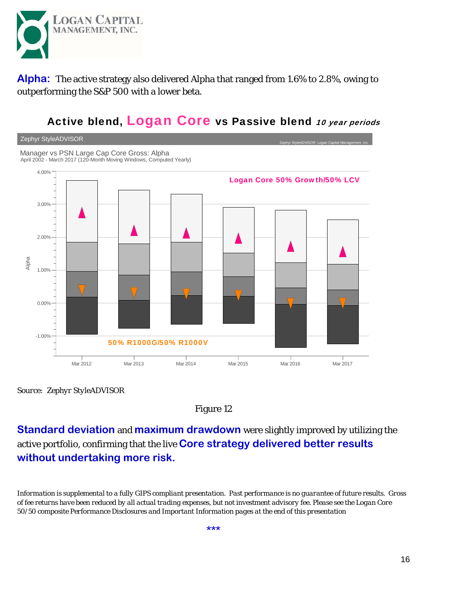

**Alpha:** The active strategy also delivered Alpha that ranged from 1.6% to 2.8%, owing to outperforming the S&P 500 with a lower beta.

### Active blend, Logan Core vs Passive blend 10 year periods



*Source: Zephyr StyleADVISOR*

#### Figure 12

**Standard deviation** and **maximum drawdown** were slightly improved by utilizing the active portfolio, confirming that the live **Core strategy delivered better results without undertaking more risk.** 

*Information is supplemental to a fully GIPS compliant presentation. Past performance is no guarantee of future results. Gross of fee returns have been reduced by all actual trading expenses, but not investment advisory fee. Please see the Logan Core 50/50 composite Performance Disclosures and Important Information pages at the end of this presentation*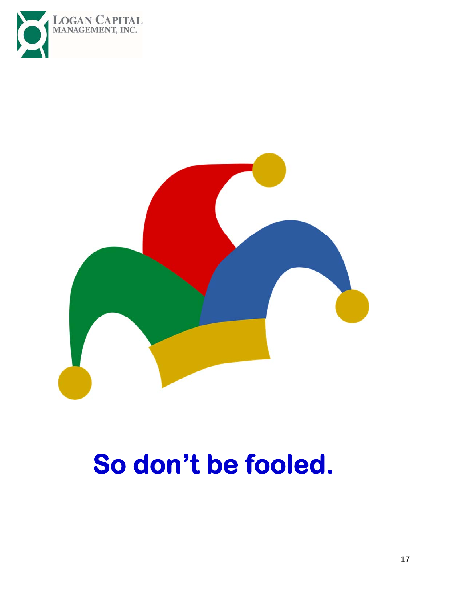



# **So don't be fooled.**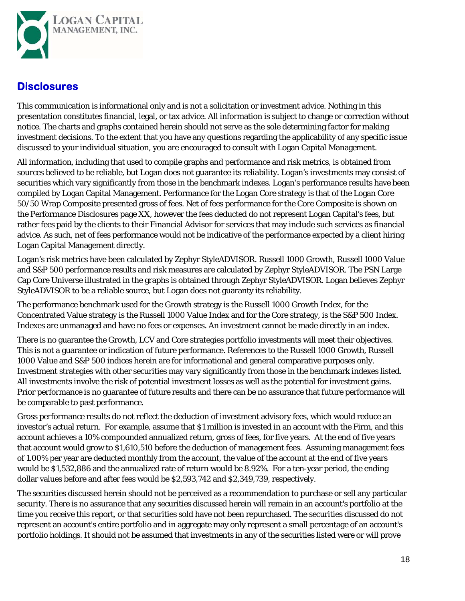

#### **Disclosures**

This communication is informational only and is not a solicitation or investment advice. Nothing in this presentation constitutes financial, legal, or tax advice. All information is subject to change or correction without notice. The charts and graphs contained herein should not serve as the sole determining factor for making investment decisions. To the extent that you have any questions regarding the applicability of any specific issue discussed to your individual situation, you are encouraged to consult with Logan Capital Management.

All information, including that used to compile graphs and performance and risk metrics, is obtained from sources believed to be reliable, but Logan does not guarantee its reliability. Logan's investments may consist of securities which vary significantly from those in the benchmark indexes. Logan's performance results have been compiled by Logan Capital Management. Performance for the Logan Core strategy is that of the Logan Core 50/50 Wrap Composite presented gross of fees. Net of fees performance for the Core Composite is shown on the Performance Disclosures page XX, however the fees deducted do not represent Logan Capital's fees, but rather fees paid by the clients to their Financial Advisor for services that may include such services as financial advice. As such, net of fees performance would not be indicative of the performance expected by a client hiring Logan Capital Management directly.

Logan's risk metrics have been calculated by Zephyr StyleADVISOR. Russell 1000 Growth, Russell 1000 Value and S&P 500 performance results and risk measures are calculated by Zephyr StyleADVISOR. The PSN Large Cap Core Universe illustrated in the graphs is obtained through Zephyr StyleADVISOR. Logan believes Zephyr StyleADVISOR to be a reliable source, but Logan does not guaranty its reliability.

The performance benchmark used for the Growth strategy is the Russell 1000 Growth Index, for the Concentrated Value strategy is the Russell 1000 Value Index and for the Core strategy, is the S&P 500 Index. Indexes are unmanaged and have no fees or expenses. An investment cannot be made directly in an index.

There is no guarantee the Growth, LCV and Core strategies portfolio investments will meet their objectives. This is not a guarantee or indication of future performance. References to the Russell 1000 Growth, Russell 1000 Value and S&P 500 indices herein are for informational and general comparative purposes only. Investment strategies with other securities may vary significantly from those in the benchmark indexes listed. All investments involve the risk of potential investment losses as well as the potential for investment gains. Prior performance is no guarantee of future results and there can be no assurance that future performance will be comparable to past performance.

Gross performance results do not reflect the deduction of investment advisory fees, which would reduce an investor's actual return. For example, assume that \$1 million is invested in an account with the Firm, and this account achieves a 10% compounded annualized return, gross of fees, for five years. At the end of five years that account would grow to \$1,610,510 before the deduction of management fees. Assuming management fees of 1.00% per year are deducted monthly from the account, the value of the account at the end of five years would be \$1,532,886 and the annualized rate of return would be 8.92%. For a ten-year period, the ending dollar values before and after fees would be \$2,593,742 and \$2,349,739, respectively.

The securities discussed herein should not be perceived as a recommendation to purchase or sell any particular security. There is no assurance that any securities discussed herein will remain in an account's portfolio at the time you receive this report, or that securities sold have not been repurchased. The securities discussed do not represent an account's entire portfolio and in aggregate may only represent a small percentage of an account's portfolio holdings. It should not be assumed that investments in any of the securities listed were or will prove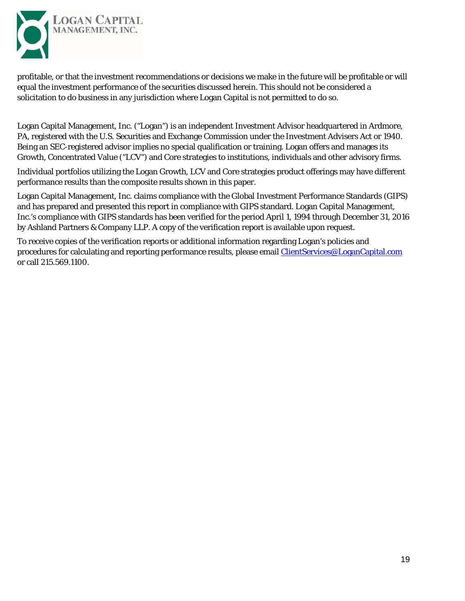

profitable, or that the investment recommendations or decisions we make in the future will be profitable or will equal the investment performance of the securities discussed herein. This should not be considered a solicitation to do business in any jurisdiction where Logan Capital is not permitted to do so.

Logan Capital Management, Inc. ("Logan") is an independent Investment Advisor headquartered in Ardmore, PA, registered with the U.S. Securities and Exchange Commission under the Investment Advisers Act or 1940. Being an SEC-registered advisor implies no special qualification or training. Logan offers and manages its Growth, Concentrated Value ("LCV") and Core strategies to institutions, individuals and other advisory firms.

Individual portfolios utilizing the Logan Growth, LCV and Core strategies product offerings may have different performance results than the composite results shown in this paper.

Logan Capital Management, Inc. claims compliance with the Global Investment Performance Standards (GIPS) and has prepared and presented this report in compliance with GIPS standard. Logan Capital Management, Inc.'s compliance with GIPS standards has been verified for the period April 1, 1994 through December 31, 2016 by Ashland Partners & Company LLP. A copy of the verification report is available upon request.

To receive copies of the verification reports or additional information regarding Logan's policies and procedures for calculating and reporting performance results, please email ClientServices@LoganCapital.com or call 215.569.1100.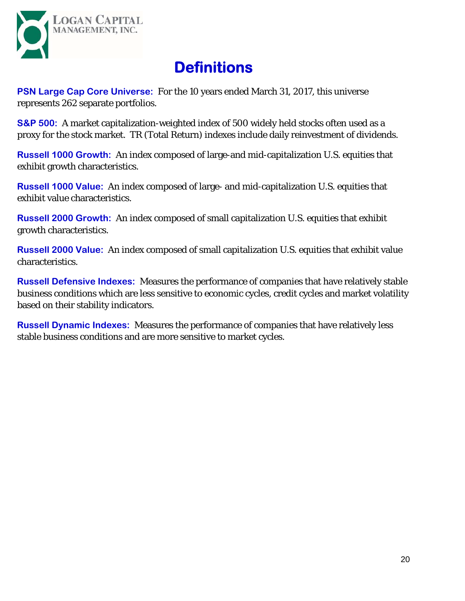

# **Definitions**

**PSN Large Cap Core Universe:** For the 10 years ended March 31, 2017, this universe represents 262 separate portfolios.

**S&P 500:** A market capitalization-weighted index of 500 widely held stocks often used as a proxy for the stock market. TR (Total Return) indexes include daily reinvestment of dividends.

**Russell 1000 Growth:** An index composed of large-and mid-capitalization U.S. equities that exhibit growth characteristics.

**Russell 1000 Value:** An index composed of large- and mid-capitalization U.S. equities that exhibit value characteristics.

**Russell 2000 Growth:** An index composed of small capitalization U.S. equities that exhibit growth characteristics.

**Russell 2000 Value:** An index composed of small capitalization U.S. equities that exhibit value characteristics.

**Russell Defensive Indexes:** Measures the performance of companies that have relatively stable business conditions which are less sensitive to economic cycles, credit cycles and market volatility based on their stability indicators.

**Russell Dynamic Indexes:** Measures the performance of companies that have relatively less stable business conditions and are more sensitive to market cycles.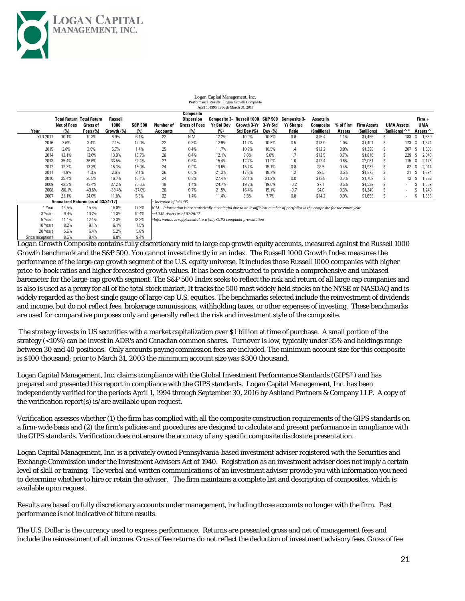

| Logan Capital Management, Inc.              |  |  |  |  |  |  |  |  |  |  |  |
|---------------------------------------------|--|--|--|--|--|--|--|--|--|--|--|
| Performance Results: Logan Growth Composite |  |  |  |  |  |  |  |  |  |  |  |
| April 1, 1995 through March 31, 2017        |  |  |  |  |  |  |  |  |  |  |  |

| $1.1714$ $1.1777$ the ought train on $71.2017$ |                                     |             |            |                    |                                  |                      |            |                                                |         |                  |              |           |                    |                        |     |  |            |
|------------------------------------------------|-------------------------------------|-------------|------------|--------------------|----------------------------------|----------------------|------------|------------------------------------------------|---------|------------------|--------------|-----------|--------------------|------------------------|-----|--|------------|
|                                                |                                     |             |            |                    |                                  | Composite            |            |                                                |         |                  |              |           |                    |                        |     |  |            |
|                                                | <b>Total Return Total Return</b>    |             | Russell    |                    |                                  | Dispersion           |            | Composite 3- Russell 1000 S&P 500 Composite 3- |         |                  | Assets in    |           |                    |                        |     |  | $Firm +$   |
|                                                | <b>Net of Fees</b>                  | Gross of    | 1000       | <b>S&amp;P 500</b> | Number of                        | <b>Gross of Fees</b> | Yr Std Dev | Growth 3-Yr 3-Yr Std                           |         | <b>Yr Sharpe</b> | Composite    | % of Firm | <b>Firm Assets</b> | <b>UMA Assets</b>      |     |  | <b>UMA</b> |
| Year                                           | (%)                                 | Fees $(\%)$ | Growth (%) | (%)                | <b>Accounts</b>                  | (%)                  | (%)        | Std Dev (%)                                    | Dev (%) | Ratio            | (\$millions) | Assets    | (\$millions)       | (Smillions) $\hat{}$ * |     |  | Assets ^   |
| <b>YTD 2017</b>                                | 10.1%                               | 10.3%       | 8.9%       | 6.1%               | 22                               | N.M.                 | 12.2%      | 10.9%                                          | 10.3%   | 0.8              | \$15.4       | 1.1%      | \$1.456            |                        | 183 |  | 1.639      |
| 2016                                           | 2.6%                                | 3.4%        | 7.1%       | 12.0%              | 22                               | 0.3%                 | 12.9%      | 11.2%                                          | 10.6%   | 0.5              | \$13.9       | 1.0%      | \$1,401            |                        | 173 |  | 1,574      |
| 2015                                           | 2.8%                                | 3.6%        | 5.7%       | 1.4%               | 25                               | 0.4%                 | 11.7%      | 10.7%                                          | 10.5%   | 1.4              | \$12.2       | 0.9%      | \$1,398            |                        | 207 |  | 1.605      |
| 2014                                           | 12.1%                               | 13.0%       | 13.0%      | 13.7%              | 28                               | 0.4%                 | 12.1%      | 9.6%                                           | 9.0%    | 1.7              | \$12.5       | 0.7%      | \$1,816            |                        | 229 |  | 2.045      |
| 2013                                           | 35.4%                               | 36.6%       | 33.5%      | 32.4%              | 27                               | 0.8%                 | 15.4%      | 12.2%                                          | 11.9%   | 1.0              | \$12.4       | 0.6%      | \$2,061            |                        | 115 |  | 2.176      |
| 2012                                           | 12.3%                               | 13.3%       | 15.3%      | 16.0%              | 24                               | 0.9%                 | 19.6%      | 15.7%                                          | 15.1%   | 0.8              | \$8.5        | 0.4%      | \$1,932            |                        | 82  |  | 2,014      |
| 2011                                           | $-1.9%$                             | $-1.0%$     | 2.6%       | 2.1%               | 26                               | 0.6%                 | 21.3%      | 17.8%                                          | 18.7%   | 1.2              | \$9.5        | 0.5%      | \$1,873            |                        | 21  |  | 1.894      |
| 2010                                           | 35.4%                               | 36.5%       | 16.7%      | 15.1%              | 24                               | 0.8%                 | 27.4%      | 22.1%                                          | 21.9%   | 0.0              | \$12.8       | 0.7%      | \$1,769            |                        | 13  |  | 1,782      |
| 2009                                           | 42.3%                               | 43.4%       | 37.2%      | 26.5%              | 18                               | 1.4%                 | 24.7%      | 19.7%                                          | 19.6%   | $-0.2$           | \$7.1        | 0.5%      | \$1,539            |                        |     |  | 1,539      |
| 2008                                           | $-50.1%$                            | $-49.6%$    | $-38.4%$   | $-37.0%$           | 20                               | 0.7%                 | 21.5%      | 16.4%                                          | 15.1%   | $-0.7$           | \$4.0        | 0.3%      | \$1,240            |                        |     |  | 1,240      |
| 2007                                           | 23.1%                               | 24.0%       | 11.8%      | 5.5%               | 32                               | 1.4%                 | 11.4%      | 8.5%                                           | 7.7%    | 0.8              | \$14.2       | 0.9%      | \$1,658            |                        |     |  | 1.658      |
|                                                | Annualized Returns (as of 03/31/17) |             |            |                    | $\dagger$ Inception of $3/31/95$ |                      |            |                                                |         |                  |              |           |                    |                        |     |  |            |

1 Year 14.5% 15.4% 15.8% 17.2% *N.M. - Information is not statistically meaningful due to an insufficient number of portfolios in the composite for the entire year.* 3 Years 9.4% 10.2% 11.3% 10.4% *^\*UMA Assets as of 02/28/17* 5 Years 11.1% 12.1% 13.3% 13.3% *^Information is supplemental to a fully GIPS compliant presentation* 10 Years 8.2% 9.1% 9.1% 7.5% 20 Years 5.6% 6.4% 5.2% 5.8%

*Logan Growth Composite* contains fully discretionary mid to large cap growth equity accounts, measured against the Russell 1000 Growth benchmark and the S&P 500. You cannot invest directly in an index. The Russell 1000 Growth Index measures the performance of the large-cap growth segment of the U.S. equity universe. It includes those Russell 1000 companies with higher price-to-book ratios and higher forecasted growth values. It has been constructed to provide a comprehensive and unbiased barometer for the large-cap growth segment. The S&P 500 Index seeks to reflect the risk and return of all large cap companies and is also is used as a proxy for all of the total stock market. It tracks the 500 most widely held stocks on the NYSE or NASDAQ and is widely regarded as the best single gauge of large-cap U.S. equities. The benchmarks selected include the reinvestment of dividends and income, but do not reflect fees, brokerage commissions, withholding taxes, or other expenses of investing. These benchmarks are used for comparative purposes only and generally reflect the risk and investment style of the composite. Since Inception† 8.5% 9.4% 8.8%

 The strategy invests in US securities with a market capitalization over \$1 billion at time of purchase. A small portion of the strategy (<10%) can be invest in ADR's and Canadian common shares. Turnover is low, typically under 35% and holdings range between 30 and 40 positions. Only accounts paying commission fees are included. The minimum account size for this composite is \$100 thousand; prior to March 31, 2003 the minimum account size was \$300 thousand.

Logan Capital Management, Inc. claims compliance with the Global Investment Performance Standards (GIPS®) and has prepared and presented this report in compliance with the GIPS standards. Logan Capital Management, Inc. has been independently verified for the periods April 1, 1994 through September 30, 2016 by Ashland Partners & Company LLP. A copy of the verification report(s) is/are available upon request.

Verification assesses whether (1) the firm has complied with all the composite construction requirements of the GIPS standards on a firm-wide basis and (2) the firm's policies and procedures are designed to calculate and present performance in compliance with the GIPS standards. Verification does not ensure the accuracy of any specific composite disclosure presentation.

Logan Capital Management, Inc. is a privately owned Pennsylvania-based investment adviser registered with the Securities and Exchange Commission under the Investment Advisers Act of 1940. Registration as an investment adviser does not imply a certain level of skill or training. The verbal and written communications of an investment adviser provide you with information you need to determine whether to hire or retain the adviser. The firm maintains a complete list and description of composites, which is available upon request.

Results are based on fully discretionary accounts under management, including those accounts no longer with the firm. Past performance is not indicative of future results.

The U.S. Dollar is the currency used to express performance. Returns are presented gross and net of management fees and include the reinvestment of all income. Gross of fee returns do not reflect the deduction of investment advisory fees. Gross of fee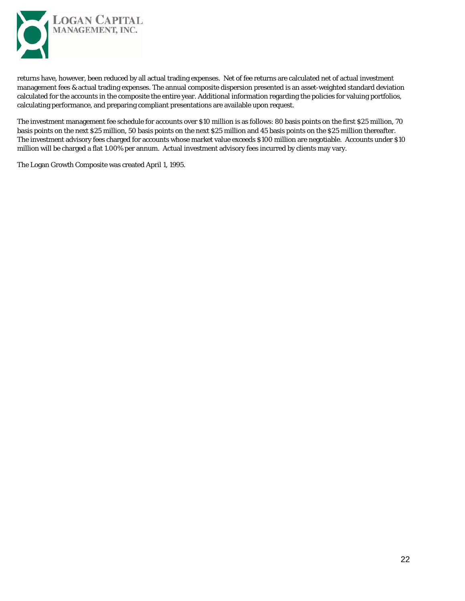

returns have, however, been reduced by all actual trading expenses. Net of fee returns are calculated net of actual investment management fees & actual trading expenses. The annual composite dispersion presented is an asset-weighted standard deviation calculated for the accounts in the composite the entire year. Additional information regarding the policies for valuing portfolios, calculating performance, and preparing compliant presentations are available upon request.

The investment management fee schedule for accounts over \$10 million is as follows: 80 basis points on the first \$25 million, 70 basis points on the next \$25 million, 50 basis points on the next \$25 million and 45 basis points on the \$25 million thereafter. The investment advisory fees charged for accounts whose market value exceeds \$100 million are negotiable. Accounts under \$10 million will be charged a flat 1.00% per annum. Actual investment advisory fees incurred by clients may vary.

The Logan Growth Composite was created April 1, 1995.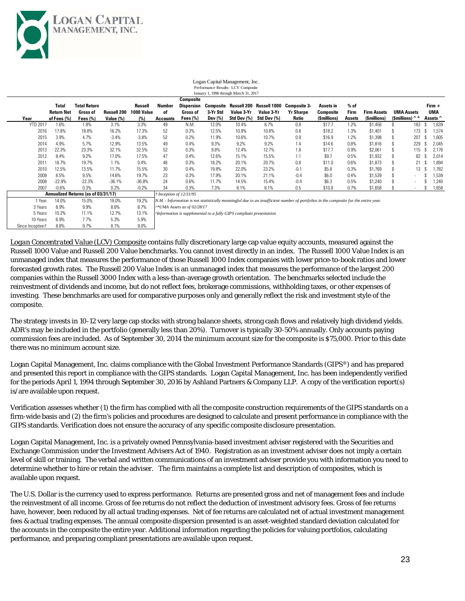

10 Years 6.9% 7.7% 5.3% 5.9% Since Inception  $1 - 8.8\%$  9.7% 8.1% 9.0%

|                 |                            |                                     |                    |                       |                                    |                             |          | January 1, 1996 through March 31, 2017         |                            |                                                                                                                                      |                        |                |              |                          |     |                 |
|-----------------|----------------------------|-------------------------------------|--------------------|-----------------------|------------------------------------|-----------------------------|----------|------------------------------------------------|----------------------------|--------------------------------------------------------------------------------------------------------------------------------------|------------------------|----------------|--------------|--------------------------|-----|-----------------|
|                 |                            |                                     |                    |                       |                                    | Composite                   |          |                                                |                            |                                                                                                                                      |                        |                |              |                          |     |                 |
|                 | Total<br><b>Return Net</b> | <b>Total Return</b><br>Gross of     | <b>Russell 200</b> | Russell<br>1000 Value | Number<br>of                       | Gross of                    | 3-Yr Std | Dispersion Composite Russell 200<br>Value 3-Yr | Russell 1000<br>Value 3-Yr | Composite 3-<br><b>Yr Sharpe</b>                                                                                                     | Assets in<br>Composite | $%$ of<br>Firm | Firm Assets  | <b>UMA Assets</b>        |     | $Firm +$<br>UMA |
| Year            | of Fees (%)                | Fees $(\%)$                         | Value $(\%)$       | (%)                   | Accounts                           | Fees $(\%)$                 | Dev (%)  | Std Dev (%)                                    | Std Dev (%)                | Ratio                                                                                                                                | (Smillions)            | Assets         | (\$millions) | (Smillions) $\hat{}$ *   |     | Assets ^        |
| <b>YTD 2017</b> | 1.6%                       | 1.8%                                | 3.1%               | 3.3%                  | 49                                 | N.M.                        | 12.0%    | 10.4%                                          | 8.7%                       | 0.8                                                                                                                                  | \$17.7                 | 1.2%           | \$1,456      |                          | 183 | 1,639           |
| 2016            | 17.8%                      | 18.8%                               | 16.2%              | 17.3%                 | 52                                 | 0.3%                        | 12.5%    | 10.9%                                          | 10.8%                      | 0.8                                                                                                                                  | \$18.2                 | 1.3%           | \$1,401      |                          | 173 | 1.574           |
| 2015            | 3.9%                       | 4.7%                                | $-3.4%$            | $-3.8%$               | 52                                 | 0.2%                        | 11.9%    | 10.6%                                          | 10.7%                      | 0.9                                                                                                                                  | \$16.9                 | 1.2%           | \$1,398      |                          | 207 | ,605            |
| 2014            | 4.9%                       | 5.7%                                | 12.9%              | 13.5%                 | 49                                 | 0.4%                        | 9.3%     | 9.2%                                           | 9.2%                       | 1.4                                                                                                                                  | \$14.6                 | 0.8%           | \$1,816      |                          | 229 | 2,045           |
| 2013            | 22.3%                      | 23.3%                               | 32.1%              | 32.5%                 | 52                                 | 0.3%                        | 9.8%     | 12.4%                                          | 12.7%                      | 1.8                                                                                                                                  | \$17.7                 | 0.9%           | \$2,061      |                          | 115 | 2,176           |
| 2012            | 8.4%                       | 9.2%                                | 17.0%              | 17.5%                 | 47                                 | 0.4%                        | 12.6%    | 15.1%                                          | 15.5%                      | 1.1                                                                                                                                  | \$9.7                  | 0.5%           | \$1,932      |                          | 82  | 2,014           |
| 201'            | 18.7%                      | 19.7%                               | 1.1%               | 0.4%                  | 46                                 | 0.3%                        | 18.2%    | 20.1%                                          | 20.7%                      | 0.8                                                                                                                                  | \$11.0                 | 0.6%           | \$1,873      |                          | 21  | 1,894           |
| 2010            | 12.5%                      | 13.5%                               | 11.7%              | 15.5%                 | 30                                 | 0.4%                        | 19.8%    | 22.0%                                          | 23.2%                      | $-0.1$                                                                                                                               | \$5.8                  | 0.3%           | \$1,769      |                          | 13  | 1,782           |
| 2009            | 8.5%                       | 9.5%                                | 14.6%              | 19.7%                 | 23                                 | 0.3%                        | 17.9%    | 20.1%                                          | 21.1%                      | $-0.4$                                                                                                                               | \$6.0                  | 0.4%           | \$1,539      | $\sim$                   |     | 1,539           |
| 2008            | $-22.9%$                   | $-22.3%$                            | $-36.1%$           | $-36.8%$              | 24                                 | 0.6%                        | 11.7%    | 14.5%                                          | 15.4%                      | $-0.4$                                                                                                                               | \$6.3                  | 0.5%           | \$1,240      |                          |     | 1.240           |
| 2007            | $-0.6%$                    | 0.3%                                | 0.2%               | $-0.2%$               | 34                                 | 0.3%                        | 7.3%     | 8.1%                                           | 8.1%                       | 0.5                                                                                                                                  | \$10.8                 | 0.7%           | \$1,658      | $\overline{\phantom{a}}$ |     | 1,658           |
|                 |                            | Annualized Returns (as of 03/31/17) |                    |                       | $\dot{\tau}$ Inception of 12/31/95 |                             |          |                                                |                            |                                                                                                                                      |                        |                |              |                          |     |                 |
| 1 Year          | 14.0%                      | 15.0%                               | 19.0%              | 19.2%                 |                                    |                             |          |                                                |                            | N.M. - Information is not statistically meaningful due to an insufficient number of portfolios in the composite for the entire year. |                        |                |              |                          |     |                 |
| 3 Years         | 8.9%                       | 9.9%                                | 8.6%               | 8.7%                  |                                    | ^*UMA Assets as of 02/28/17 |          |                                                |                            |                                                                                                                                      |                        |                |              |                          |     |                 |

#### Logan Capital Management, Inc. Performance Results: LCV Composite

*Logan Concentrated Value (LCV) Composite* contains fully discretionary large cap value equity accounts, measured against the Russell 1000 Value and Russell 200 Value benchmarks. You cannot invest directly in an index. The Russell 1000 Value Index is an unmanaged index that measures the performance of those Russell 1000 Index companies with lower price-to-book ratios and lower forecasted growth rates. The Russell 200 Value Index is an unmanaged index that measures the performance of the largest 200 companies within the Russell 3000 Index with a less-than-average growth orientation. The benchmarks selected include the reinvestment of dividends and income, but do not reflect fees, brokerage commissions, withholding taxes, or other expenses of investing. These benchmarks are used for comparative purposes only and generally reflect the risk and investment style of the composite.

5 Years 10.2% 11.1% 12.7% 13.1% *^Information is supplemental to a fully GIPS compliant presentation*

The strategy invests in 10-12 very large cap stocks with strong balance sheets, strong cash flows and relatively high dividend yields. ADR's may be included in the portfolio (generally less than 20%). Turnover is typically 30-50% annually. Only accounts paying commission fees are included. As of September 30, 2014 the minimum account size for the composite is \$75,000. Prior to this date there was no minimum account size.

Logan Capital Management, Inc. claims compliance with the Global Investment Performance Standards (GIPS®) and has prepared and presented this report in compliance with the GIPS standards. Logan Capital Management, Inc. has been independently verified for the periods April 1, 1994 through September 30, 2016 by Ashland Partners & Company LLP. A copy of the verification report(s) is/are available upon request.

Verification assesses whether (1) the firm has complied with all the composite construction requirements of the GIPS standards on a firm-wide basis and (2) the firm's policies and procedures are designed to calculate and present performance in compliance with the GIPS standards. Verification does not ensure the accuracy of any specific composite disclosure presentation.

Logan Capital Management, Inc. is a privately owned Pennsylvania-based investment adviser registered with the Securities and Exchange Commission under the Investment Advisers Act of 1940. Registration as an investment adviser does not imply a certain level of skill or training. The verbal and written communications of an investment adviser provide you with information you need to determine whether to hire or retain the adviser. The firm maintains a complete list and description of composites, which is available upon request.

The U.S. Dollar is the currency used to express performance. Returns are presented gross and net of management fees and include the reinvestment of all income. Gross of fee returns do not reflect the deduction of investment advisory fees. Gross of fee returns have, however, been reduced by all actual trading expenses. Net of fee returns are calculated net of actual investment management fees & actual trading expenses. The annual composite dispersion presented is an asset-weighted standard deviation calculated for the accounts in the composite the entire year. Additional information regarding the policies for valuing portfolios, calculating performance, and preparing compliant presentations are available upon request.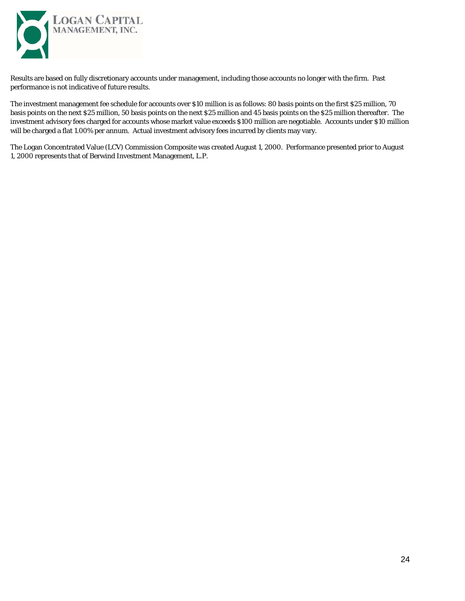

Results are based on fully discretionary accounts under management, including those accounts no longer with the firm. Past performance is not indicative of future results.

The investment management fee schedule for accounts over \$10 million is as follows: 80 basis points on the first \$25 million, 70 basis points on the next \$25 million, 50 basis points on the next \$25 million and 45 basis points on the \$25 million thereafter. The investment advisory fees charged for accounts whose market value exceeds \$100 million are negotiable. Accounts under \$10 million will be charged a flat 1.00% per annum. Actual investment advisory fees incurred by clients may vary.

The Logan Concentrated Value (LCV) Commission Composite was created August 1, 2000. Performance presented prior to August 1, 2000 represents that of Berwind Investment Management, L.P.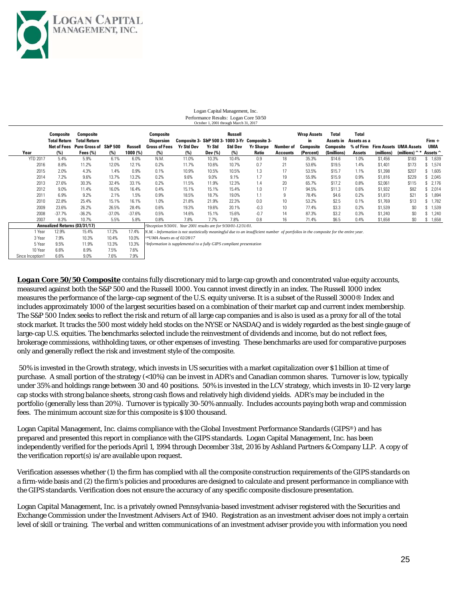

10 Year 6.6% 8.9% 7.5% 7.6% Since Inception† 6.6% 9.0% 7.6% 7.9%

|                 | Composite                     | Composite             |          |            | Composite                                                                                                                            |                   |         | Russell        |                                               |                 | <b>Wrap Assets</b> | <b>Total</b> | <b>Total</b> |            |                        |          |
|-----------------|-------------------------------|-----------------------|----------|------------|--------------------------------------------------------------------------------------------------------------------------------------|-------------------|---------|----------------|-----------------------------------------------|-----------------|--------------------|--------------|--------------|------------|------------------------|----------|
|                 | Total Return                  | <b>Total Return</b>   |          |            | <b>Dispersion</b>                                                                                                                    |                   |         |                | Composite 3- S&P 500 3-1000 3-Yr Composite 3- |                 | in.                | Assets in    | Assets as a  |            |                        | Firm +   |
|                 | Net of Fees                   | Pure Gross of S&P 500 |          | Russell    | Gross of Fees                                                                                                                        | <b>Yr Std Dev</b> | Yr Std  | <b>Std Dev</b> | <b>Yr Sharpe</b>                              | Number of       | Composite          | Composite    | % of Firm    |            | Firm Assets UMA Assets | UMA      |
| Year            | (%)                           | Fees $(\%)$           | (%)      | $1000$ (%) | (%)                                                                                                                                  | (%)               | Dev (%) | (%)            | Ratio                                         | Accounts        | (Percent)          | (Smillions)  | Assets       | (millions) | (millions) $\hat{ }$ * | Assets ^ |
| <b>YTD 2017</b> | 5.4%                          | 5.9%                  | 6.1%     | 6.0%       | N.M.                                                                                                                                 | 11.0%             | 10.3%   | 10.4%          | 0.9                                           | 18              | 35.3%              | \$14.6       | 1.0%         | \$1,456    | \$183                  | \$1,639  |
| 2016            | 8.8%                          | 11.2%                 | 12.0%    | 12.1%      | 0.2%                                                                                                                                 | 11.7%             | 10.6%   | 10.7%          | 0.7                                           | 21              | 53.6%              | \$19.5       | 1.4%         | \$1,401    | \$173                  | \$1,574  |
| 2015            | 2.0%                          | 4.3%                  | 1.4%     | 0.9%       | 0.1%                                                                                                                                 | 10.9%             | 10.5%   | 10.5%          | 1.3                                           | 17              | 53.5%              | \$15.7       | 1.1%         | \$1,398    | \$207                  | \$1,605  |
| 2014            | 7.2%                          | 9.6%                  | 13.7%    | 13.2%      | 0.2%                                                                                                                                 | 9.6%              | 9.0%    | 9.1%           | 1.7                                           | 19              | 55.9%              | \$15.9       | 0.9%         | \$1,816    | \$229                  | \$2,045  |
| 2013            | 27.6%                         | 30.3%                 | 32.4%    | 33.1%      | 0.2%                                                                                                                                 | 11.5%             | 11.9%   | 12.3%          | 1.4                                           | 20              | 65.7%              | \$17.2       | 0.8%         | \$2,061    | \$115                  | \$2,176  |
| 2012            | $9.0\%$                       | 11.4%                 | 16.0%    | 16.4%      | 0.4%                                                                                                                                 | 15.1%             | 15.1%   | 15.4%          | 1.0                                           | 17              | 94.5%              | \$11.3       | 0.6%         | \$1,932    | \$82                   | \$2,014  |
| 2011            | 6.9%                          | 9.2%                  | 2.1%     | 1.5%       | 0.9%                                                                                                                                 | 18.5%             | 18.7%   | 19.0%          | 1.1                                           | 9               | 78.4%              | \$4.6        | 0.2%         | \$1,873    | \$21                   | \$1,894  |
| 2010            | 22.8%                         | 25.4%                 | 15.1%    | 16.1%      | 1.0%                                                                                                                                 | 21.8%             | 21.9%   | 22.3%          | 0.0                                           | 10 <sup>°</sup> | 53.2%              | \$2.5        | 0.1%         | \$1,769    | \$13                   | 1,782    |
| 2009            | 23.6%                         | 26.2%                 | 26.5%    | 28.4%      | 0.6%                                                                                                                                 | 19.3%             | 19.6%   | 20.1%          | $-0.3$                                        | 10 <sup>1</sup> | 77.4%              | \$3.3        | 0.2%         | \$1,539    | \$0                    | 1,539    |
| 2008            | $-37.7%$                      | $-36.2%$              | $-37.0%$ | $-37.6%$   | 0.5%                                                                                                                                 | 14.6%             | 15.1%   | 15.6%          | $-0.7$                                        | 14              | 87.3%              | \$3.2        | 0.3%         | \$1,240    | \$0                    | 1,240    |
| 2007            | 8.3%                          | 10.7%                 | 5.5%     | 5.8%       | 0.8%                                                                                                                                 | 7.8%              | 7.7%    | 7.8%           | 0.8                                           | 16              | 71.4%              | \$6.5        | 0.4%         | \$1,658    | \$0                    | 1,658    |
|                 | Annualized Returns (03/31/17) |                       |          |            | †Inception 9/30/01. Year 2001 results are for 9/30/01-12/31/01.                                                                      |                   |         |                |                                               |                 |                    |              |              |            |                        |          |
| Year            | 12.9%                         | 15.4%                 | 17.2%    | 17.4%      | N.M. - Information is not statistically meaningful due to an insufficient number of portfolios in the composite for the entire year. |                   |         |                |                                               |                 |                    |              |              |            |                        |          |
| 3 Year          | 7.9%                          | 10.3%                 | 10.4%    | 10.0%      | N*UMA Assets as of 02/28/17                                                                                                          |                   |         |                |                                               |                 |                    |              |              |            |                        |          |
| 5 Year          | 9.5%                          | 11.9%                 | 13.3%    | 13.3%      | Information is supplemental to a fully GIPS compliant presentation                                                                   |                   |         |                |                                               |                 |                    |              |              |            |                        |          |
| 10 Year         | 6.6%                          | 8.9%                  | 7.5%     | 7.6%       |                                                                                                                                      |                   |         |                |                                               |                 |                    |              |              |            |                        |          |

#### Logan Capital Management, Inc. Performance Results: Logan Core 50/50 October 1, 2001 through March 31, 2017

*Logan Core 50/50 Composite* contains fully discretionary mid to large cap growth and concentrated value equity accounts, measured against both the S&P 500 and the Russell 1000. You cannot invest directly in an index. The Russell 1000 index measures the performance of the large-cap segment of the U.S. equity universe. It is a subset of the Russell 3000® Index and includes approximately 1000 of the largest securities based on a combination of their market cap and current index membership. The S&P 500 Index seeks to reflect the risk and return of all large cap companies and is also is used as a proxy for all of the total stock market. It tracks the 500 most widely held stocks on the NYSE or NASDAQ and is widely regarded as the best single gauge of large-cap U.S. equities. The benchmarks selected include the reinvestment of dividends and income, but do not reflect fees, brokerage commissions, withholding taxes, or other expenses of investing. These benchmarks are used for comparative purposes only and generally reflect the risk and investment style of the composite.

 50% is invested in the Growth strategy, which invests in US securities with a market capitalization over \$1 billion at time of purchase. A small portion of the strategy (<10%) can be invest in ADR's and Canadian common shares. Turnover is low, typically under 35% and holdings range between 30 and 40 positions. 50% is invested in the LCV strategy, which invests in 10-12 very large cap stocks with strong balance sheets, strong cash flows and relatively high dividend yields. ADR's may be included in the portfolio (generally less than 20%). Turnover is typically 30-50% annually. Includes accounts paying both wrap and commission fees. The minimum account size for this composite is \$100 thousand.

Logan Capital Management, Inc. claims compliance with the Global Investment Performance Standards (GIPS®) and has prepared and presented this report in compliance with the GIPS standards. Logan Capital Management, Inc. has been independently verified for the periods April 1, 1994 through December 31st, 2016 by Ashland Partners & Company LLP. A copy of the verification report(s) is/are available upon request.

Verification assesses whether (1) the firm has complied with all the composite construction requirements of the GIPS standards on a firm-wide basis and (2) the firm's policies and procedures are designed to calculate and present performance in compliance with the GIPS standards. Verification does not ensure the accuracy of any specific composite disclosure presentation.

Logan Capital Management, Inc. is a privately owned Pennsylvania-based investment adviser registered with the Securities and Exchange Commission under the Investment Advisers Act of 1940. Registration as an investment adviser does not imply a certain level of skill or training. The verbal and written communications of an investment adviser provide you with information you need